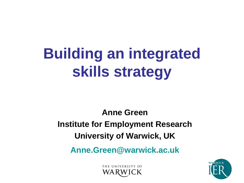# **Building an integrated skills strategy**

**Anne Green Institute for Employment Research University of Warwick, UK**

**Anne.Green@warwick.ac.uk**

THE UNIVERSITY OF

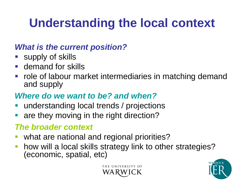# **Understanding the local context**

#### *What is the current position?*

- **Supply of skills**
- **demand for skills**
- role of labour market intermediaries in matching demand and supply

#### *Where do we want to be? and when?*

- understanding local trends / projections
- are they moving in the right direction?

#### *The broader context*

- what are national and regional priorities?
- how will a local skills strategy link to other strategies? (economic, spatial, etc)



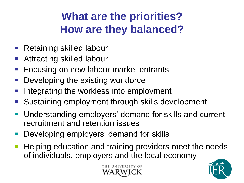### **What are the priorities? How are they balanced?**

- **Retaining skilled labour**
- Attracting skilled labour
- **Focusing on new labour market entrants**
- Developing the existing workforce
- Integrating the workless into employment
- Sustaining employment through skills development
- Understanding employers' demand for skills and current recruitment and retention issues
- Developing employers' demand for skills
- Helping education and training providers meet the needs of individuals, employers and the local economy



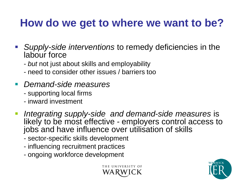### **How do we get to where we want to be?**

- *Supply-side interventions* to remedy deficiencies in the labour force
	- *but* not just about skills and employability
	- need to consider other issues / barriers too
- *Demand-side measures*
	- supporting local firms
	- inward investment
- *Integrating supply-side and demand-side measures* is likely to be most effective *-* employers control access to jobs and have influence over utilisation of skills
	- sector-specific skills development
	- influencing recruitment practices
	- ongoing workforce development



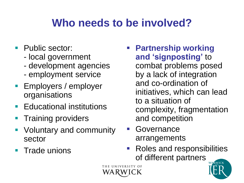### **Who needs to be involved?**

- Public sector:
	- local government
	- development agencies
	- employment service
- **Employers / employer** organisations
- Educational institutions
- Training providers
- **Voluntary and community** sector
- Trade unions
- **Partnership working and 'signposting'** to combat problems posed by a lack of integration and co-ordination of initiatives, which can lead to a situation of complexity, fragmentation and competition
- **Governance** arrangements
- Roles and responsibilities of different partners



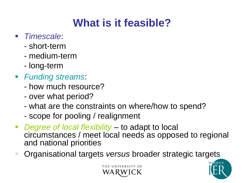# **What is it feasible?**

- *Timescale*:
	- short-term
	- medium-term
	- long-term
- *Funding streams*:
	- how much resource?
	- over what period?
	- what are the constraints on where/how to spend?
	- scope for pooling / realignment
- *Degree of local flexibility* to adapt to local circumstances / meet local needs as opposed to regional and national priorities
- Organisational targets *versus* broader strategic targets



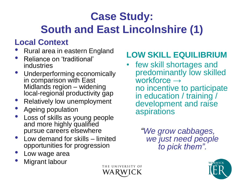# **Case Study:**

### **South and East Lincolnshire (1)**

### **Local Context**

- Rural area in eastern England
- Reliance on 'traditional' industries
- Underperforming economically in comparison with East Midlands region – widening local-regional productivity gap
- Relatively low unemployment
- Ageing population
- Loss of skills as young people and more highly qualified pursue careers elsewhere
- Low demand for skills limited opportunities for progression
- Low wage area
- **Migrant labour**

### **LOW SKILL EQUILIBRIUM**

few skill shortages and predominantly low skilled workforce → no incentive to participate in education / training / development and raise aspirations

> *"We grow cabbages, we just need people to pick them".*



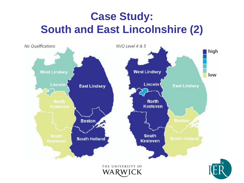### **Case Study: South and East Lincolnshire (2)**

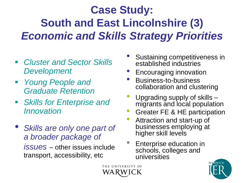# **Case Study: South and East Lincolnshire (3)** *Economic and Skills Strategy Priorities*

THE UNIVERSITY OF

- *Cluster and Sector Skills Development*
- *Young People and Graduate Retention*
- *Skills for Enterprise and Innovation*
- *Skills are only one part of a broader package of issues* – other issues include transport, accessibility, etc
- Sustaining competitiveness in established industries
- Encouraging innovation
- Business-to-business collaboration and clustering
- Upgrading supply of skills migrants and local population
- Greater FE & HE participation
- Attraction and start-up of businesses employing at higher skill levels
- Enterprise education in schools, colleges and universities

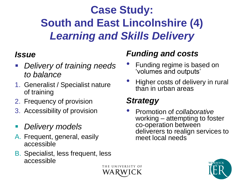# **Case Study: South and East Lincolnshire (4)** *Learning and Skills Delivery*

#### *Issue*

- *Delivery of training needs to balance*
- 1. Generalist / Specialist nature of training
- 2. Frequency of provision
- 3. Accessibility of provision
- *Delivery models*
- A. Frequent, general, easily accessible
- B. Specialist, less frequent, less accessible

### *Funding and costs*

- Funding regime is based on 'volumes and outputs'
- Higher costs of delivery in rural than in urban areas

### *Strategy*

• Promotion of *collaborative* working – attempting to foster co-operation between deliverers to realign services to meet local needs